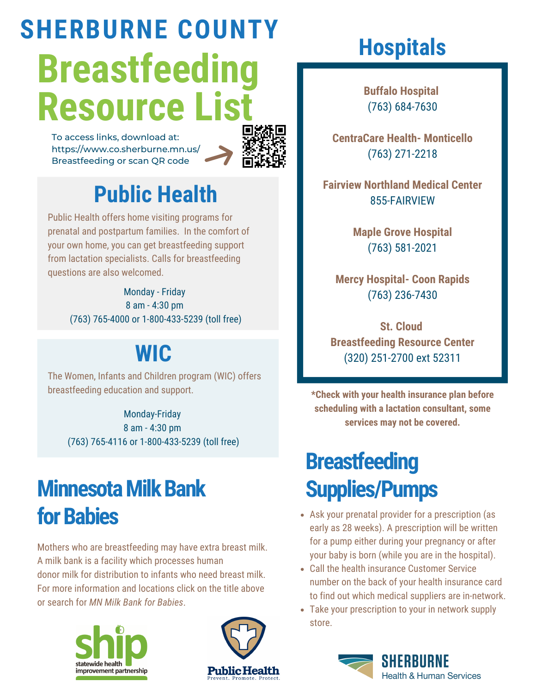# **Breastfeeding Resource List SHERBURNE COUNTY**

To access links, download at: [https://www.co.sherburne.mn.us/](https://www.co.sherburne.mn.us/393/Breastfeeding) Breastfeeding or scan QR code



## **Public [Health](https://www.co.sherburne.mn.us/327/Health-Human-Services)**

Public Health offers home visiting programs for prenatal and postpartum families. In the comfort of your own home, you can get breastfeeding support from lactation specialists. Calls for breastfeeding questions are also welcomed.

> Monday - Friday 8 am - 4:30 pm (763) 765-4000 or 1-800-433-5239 (toll free)

### **[WIC](https://www.co.sherburne.mn.us/538/Women-Infants-Children-WIC-Program)**

The Women, Infants and Children program (WIC) offers breastfeeding education and support.

Monday-Friday

8 am - 4:30 pm (763) 765-4116 or 1-800-433-5239 (toll free)

# **Minnesota Milk Bank for Babies**

Mothers who are breastfeeding may have extra breast milk. A milk bank is a facility which processes human donor milk for distribution to infants who need breast milk. For more information and locations click on the title above or search for *MN Milk Bank for Babies*.





# **Hospitals**

**Buffalo Hospital** (763) 684-7630

**CentraCare Health- Monticello** (763) 271-2218

**Fairview Northland Medical Center** 855-FAIRVIEW

> **Maple Grove Hospital** (763) 581-2021

**Mercy Hospital- Coon Rapids** (763) 236-7430

**St. Cloud Breastfeeding Resource Center** (320) 251-2700 ext 52311

**\*Check with your health insurance plan before scheduling with a lactation consultant, some services may not be covered.**

# **Breastfeeding Supplies/Pumps**

- Ask your prenatal provider for a prescription (as early as 28 weeks). A prescription will be written for a pump either during your pregnancy or after your baby is born (while you are in the hospital).
- Call the health insurance Customer Service number on the back of your health insurance card to find out which medical suppliers are in-network.
- Take your prescription to your in network supply store.